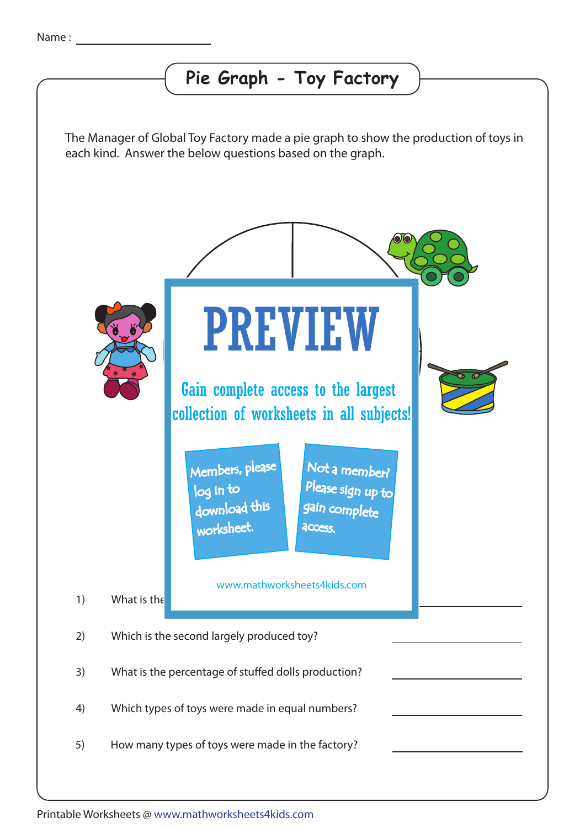## **Pie Graph - Toy Factory**

The Manager of Global Toy Factory made a pie graph to show the production of toys in each kind. Answer the below questions based on the graph.



Printable Worksheets @ www.mathworksheets4kids.com